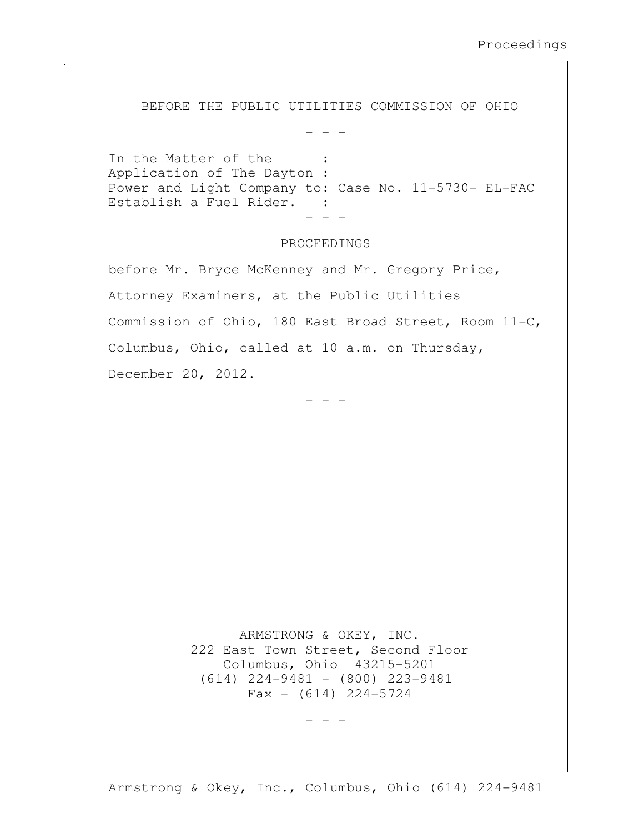BEFORE THE PUBLIC UTILITIES COMMISSION OF OHIO

In the Matter of the : Application of The Dayton : Power and Light Company to: Case No. 11-5730- EL-FAC Establish a Fuel Rider. : - - -

- - -

## PROCEEDINGS

before Mr. Bryce McKenney and Mr. Gregory Price, Attorney Examiners, at the Public Utilities Commission of Ohio, 180 East Broad Street, Room 11-C, Columbus, Ohio, called at 10 a.m. on Thursday, December 20, 2012.

- - -

 ARMSTRONG & OKEY, INC. 222 East Town Street, Second Floor Columbus, Ohio 43215-5201 (614) 224-9481 - (800) 223-9481  $Fax - (614) 224-5724$ 

Armstrong & Okey, Inc., Columbus, Ohio (614) 224-9481

- - -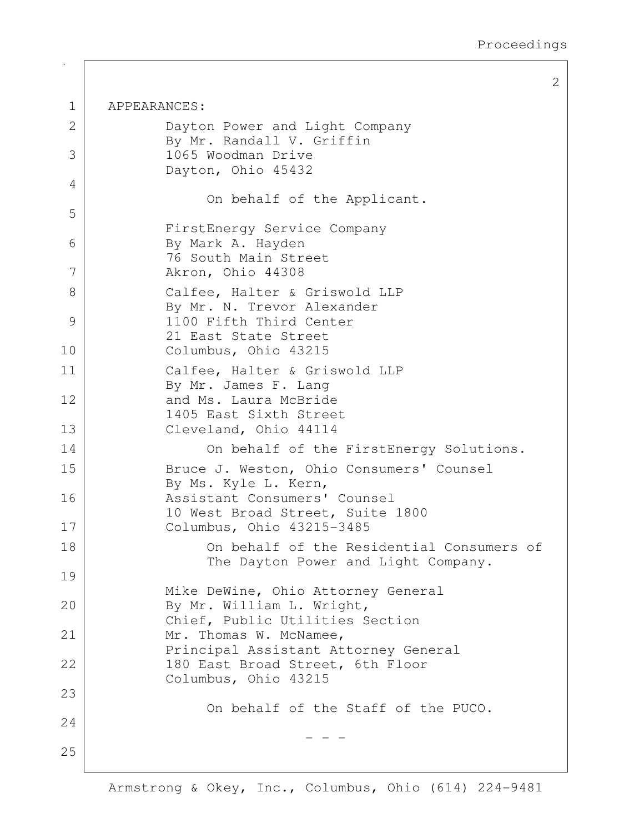2

1 APPEARANCES: 2 Dayton Power and Light Company By Mr. Randall V. Griffin 3 1065 Woodman Drive Dayton, Ohio 45432 4 On behalf of the Applicant. 5 FirstEnergy Service Company 6 By Mark A. Hayden 76 South Main Street 7 Akron, Ohio 44308 8 | Calfee, Halter & Griswold LLP By Mr. N. Trevor Alexander 9 1100 Fifth Third Center 21 East State Street 10 Columbus, Ohio 43215 11 Calfee, Halter & Griswold LLP By Mr. James F. Lang 12 and Ms. Laura McBride 1405 East Sixth Street 13 Cleveland, Ohio 44114 14 On behalf of the FirstEnergy Solutions. 15 Bruce J. Weston, Ohio Consumers' Counsel By Ms. Kyle L. Kern, 16 Assistant Consumers' Counsel 10 West Broad Street, Suite 1800 17 Columbus, Ohio 43215-3485 18 | Consumers on behalf of the Residential Consumers of The Dayton Power and Light Company. 19 Mike DeWine, Ohio Attorney General 20 By Mr. William L. Wright, Chief, Public Utilities Section 21 Mr. Thomas W. McNamee, Principal Assistant Attorney General 22 | 180 East Broad Street, 6th Floor Columbus, Ohio 43215 23 On behalf of the Staff of the PUCO. 24 - - - 25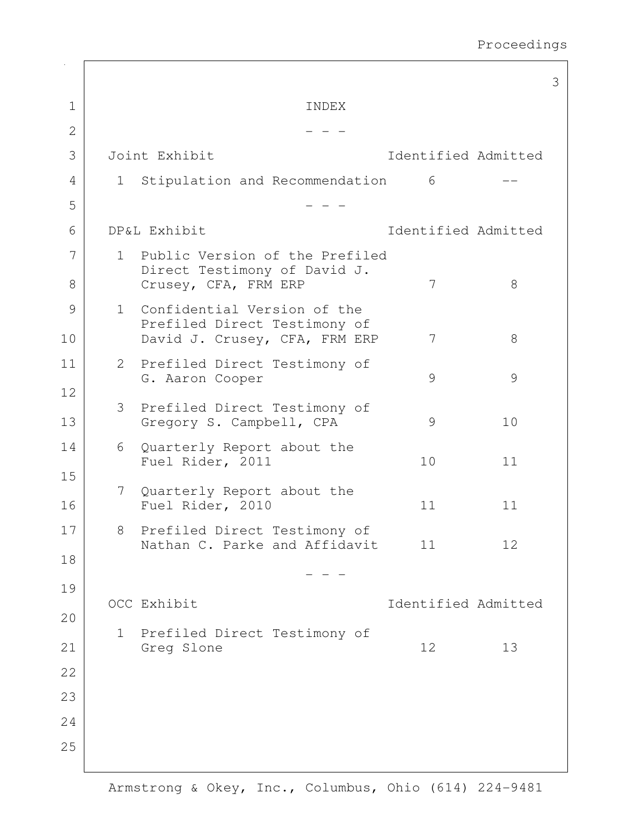|              |              |                                                                                              |                     |    | 3 |
|--------------|--------------|----------------------------------------------------------------------------------------------|---------------------|----|---|
| $\mathbf 1$  |              | INDEX                                                                                        |                     |    |   |
| $\mathbf{2}$ |              |                                                                                              |                     |    |   |
| 3            |              | Joint Exhibit                                                                                | Identified Admitted |    |   |
| 4            | $\mathbf{1}$ | Stipulation and Recommendation                                                               | 6                   |    |   |
| 5            |              |                                                                                              |                     |    |   |
| 6            |              | DP&L Exhibit                                                                                 | Identified Admitted |    |   |
| 7<br>8       | $\mathbf{1}$ | Public Version of the Prefiled<br>Direct Testimony of David J.<br>Crusey, CFA, FRM ERP       | 7                   | 8  |   |
| 9<br>10      | $\mathbf{1}$ | Confidential Version of the<br>Prefiled Direct Testimony of<br>David J. Crusey, CFA, FRM ERP | 7                   | 8  |   |
| 11           |              | 2 Prefiled Direct Testimony of<br>G. Aaron Cooper                                            | 9                   | 9  |   |
| 12<br>13     | 3            | Prefiled Direct Testimony of<br>Gregory S. Campbell, CPA                                     | 9                   | 10 |   |
| 14<br>15     | 6            | Quarterly Report about the<br>Fuel Rider, 2011                                               | 10                  | 11 |   |
| 16           | 7            | Quarterly Report about the<br>Fuel Rider, 2010                                               | 11                  | 11 |   |
| $17$         | 8            | Prefiled Direct Testimony of<br>Nathan C. Parke and Affidavit                                | 11                  | 12 |   |
| 18           |              |                                                                                              |                     |    |   |
| 19<br>20     |              | OCC Exhibit                                                                                  | Identified Admitted |    |   |
| 21           | $\mathbf{1}$ | Prefiled Direct Testimony of<br>Greg Slone                                                   | 12                  | 13 |   |
| 22           |              |                                                                                              |                     |    |   |
| 23           |              |                                                                                              |                     |    |   |
| 24           |              |                                                                                              |                     |    |   |
| 25           |              |                                                                                              |                     |    |   |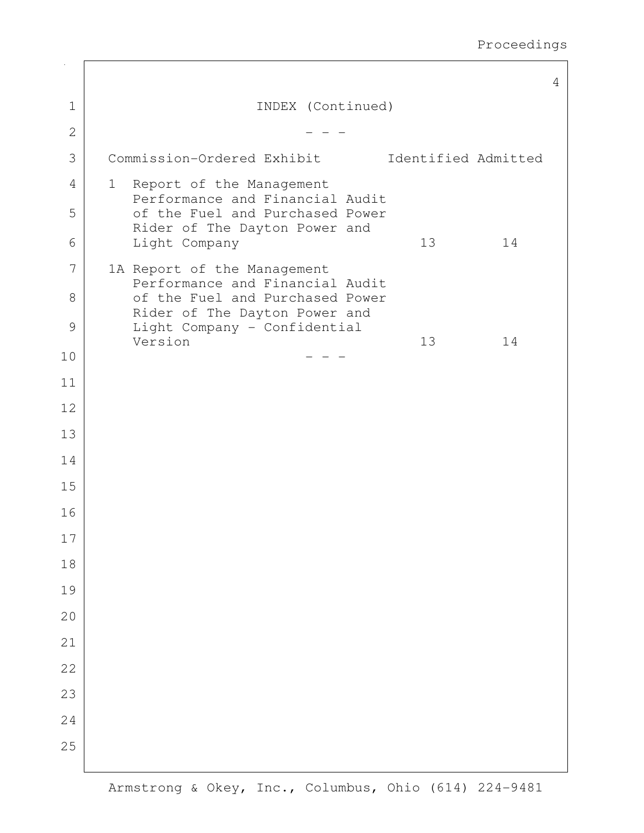|              |                                                                    | 4 |
|--------------|--------------------------------------------------------------------|---|
| $\mathbf 1$  | INDEX (Continued)                                                  |   |
| $\mathbf{2}$ |                                                                    |   |
| 3            | Commission-Ordered Exhibit<br>Identified Admitted                  |   |
| 4            | 1 Report of the Management<br>Performance and Financial Audit      |   |
| 5            | of the Fuel and Purchased Power                                    |   |
| 6            | Rider of The Dayton Power and<br>Light Company<br>14<br>13         |   |
| 7            | 1A Report of the Management                                        |   |
| 8            | Performance and Financial Audit<br>of the Fuel and Purchased Power |   |
| 9            | Rider of The Dayton Power and<br>Light Company - Confidential      |   |
| 10           | Version<br>14<br>13                                                |   |
| 11           |                                                                    |   |
| 12           |                                                                    |   |
| 13           |                                                                    |   |
| 14           |                                                                    |   |
| 15           |                                                                    |   |
| 16           |                                                                    |   |
| $17\,$       |                                                                    |   |
| 18           |                                                                    |   |
| 19           |                                                                    |   |
| 20           |                                                                    |   |
| 21           |                                                                    |   |
| 22           |                                                                    |   |
| 23           |                                                                    |   |
| 24           |                                                                    |   |
| 25           |                                                                    |   |
|              |                                                                    |   |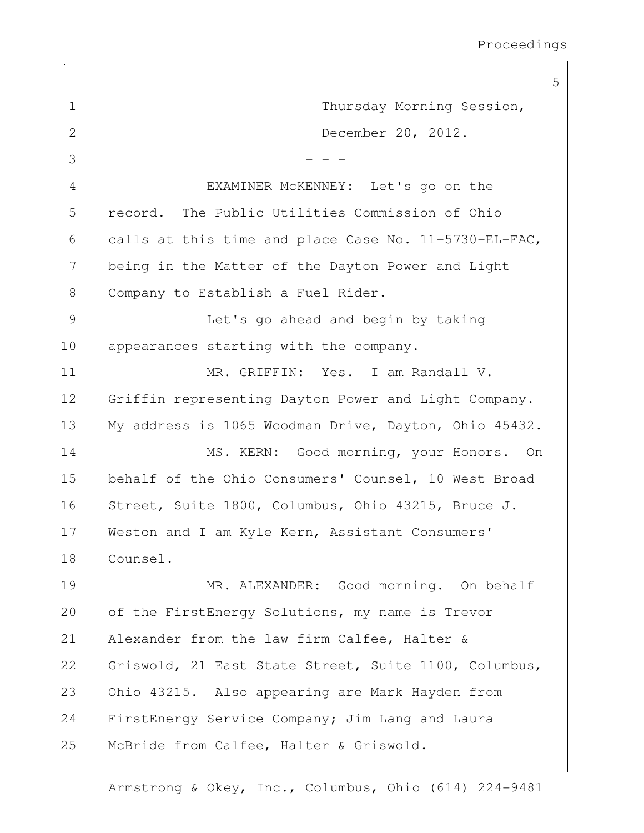5 1 Thursday Morning Session, 2 December 20, 2012.  $3$   $-$  - -4 EXAMINER McKENNEY: Let's go on the 5 record. The Public Utilities Commission of Ohio 6 calls at this time and place Case No.  $11-5730-EL-FAC$ , 7 being in the Matter of the Dayton Power and Light 8 Company to Establish a Fuel Rider. 9 | Let's go ahead and begin by taking 10 | appearances starting with the company. 11 MR. GRIFFIN: Yes. I am Randall V. 12 Griffin representing Dayton Power and Light Company. 13 My address is 1065 Woodman Drive, Dayton, Ohio 45432. 14 MS. KERN: Good morning, your Honors. On 15 behalf of the Ohio Consumers' Counsel, 10 West Broad 16 Street, Suite 1800, Columbus, Ohio 43215, Bruce J. 17 | Weston and I am Kyle Kern, Assistant Consumers' 18 Counsel. 19 MR. ALEXANDER: Good morning. On behalf 20 of the FirstEnergy Solutions, my name is Trevor 21 | Alexander from the law firm Calfee, Halter & 22 Griswold, 21 East State Street, Suite 1100, Columbus, 23 Ohio 43215. Also appearing are Mark Hayden from 24 FirstEnergy Service Company; Jim Lang and Laura 25 | McBride from Calfee, Halter & Griswold.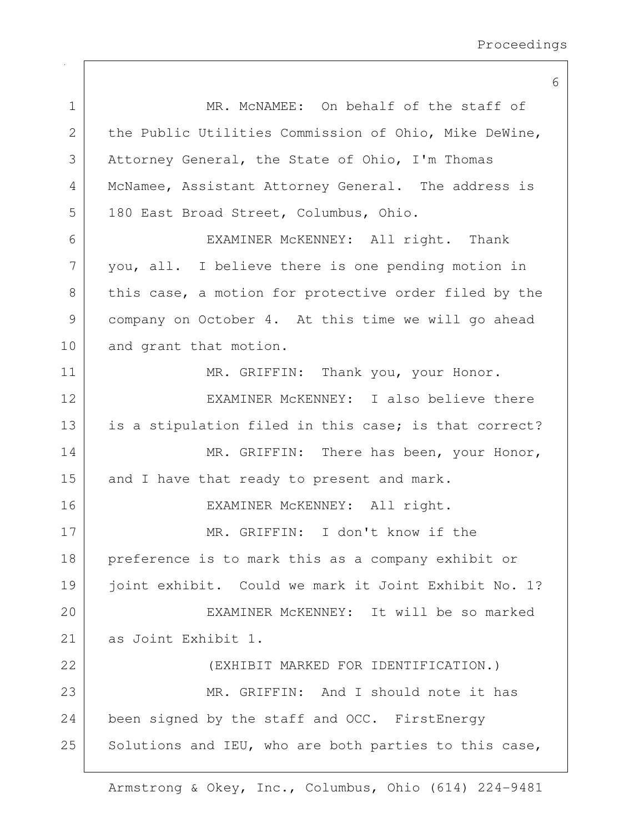6

| $\mathbf 1$   | MR. MCNAMEE: On behalf of the staff of                |
|---------------|-------------------------------------------------------|
| $\mathbf{2}$  | the Public Utilities Commission of Ohio, Mike DeWine, |
| 3             | Attorney General, the State of Ohio, I'm Thomas       |
| 4             | McNamee, Assistant Attorney General. The address is   |
| 5             | 180 East Broad Street, Columbus, Ohio.                |
| 6             | EXAMINER MCKENNEY: All right. Thank                   |
| 7             | you, all. I believe there is one pending motion in    |
| $8\,$         | this case, a motion for protective order filed by the |
| $\mathcal{G}$ | company on October 4. At this time we will go ahead   |
| 10            | and grant that motion.                                |
| 11            | MR. GRIFFIN: Thank you, your Honor.                   |
| 12            | EXAMINER MCKENNEY: I also believe there               |
| 13            | is a stipulation filed in this case; is that correct? |
| 14            | MR. GRIFFIN: There has been, your Honor,              |
| 15            | and I have that ready to present and mark.            |
| 16            | EXAMINER MCKENNEY: All right.                         |
| 17            | MR. GRIFFIN: I don't know if the                      |
| 18            | preference is to mark this as a company exhibit or    |
| 19            | joint exhibit. Could we mark it Joint Exhibit No. 1?  |
| 20            | EXAMINER MCKENNEY: It will be so marked               |
| 21            | as Joint Exhibit 1.                                   |
| 22            | (EXHIBIT MARKED FOR IDENTIFICATION.)                  |
| 23            | MR. GRIFFIN: And I should note it has                 |
| 24            | been signed by the staff and OCC. FirstEnergy         |
| 25            | Solutions and IEU, who are both parties to this case, |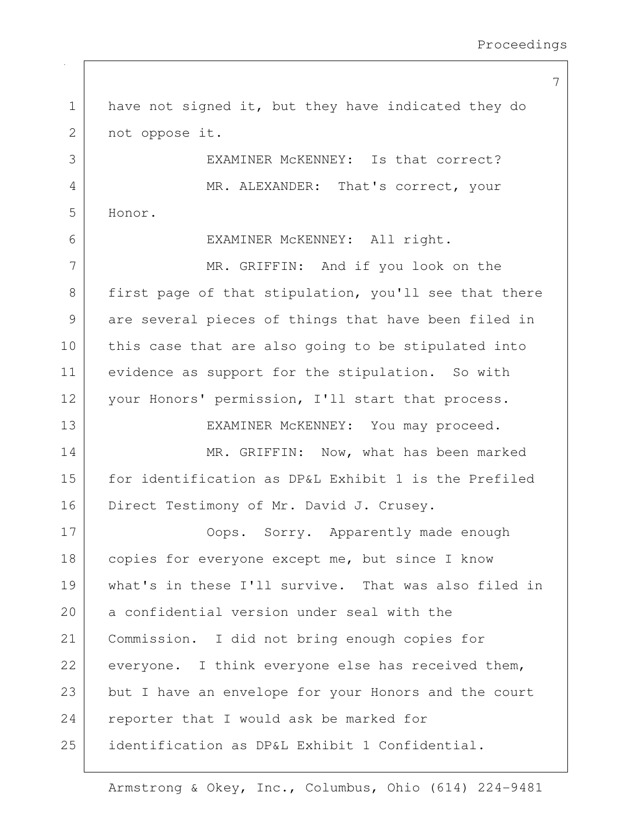1 | have not signed it, but they have indicated they do 2 not oppose it. 3 EXAMINER McKENNEY: Is that correct? 4 MR. ALEXANDER: That's correct, your 5 Honor. 6 EXAMINER McKENNEY: All right. 7 MR. GRIFFIN: And if you look on the 8 first page of that stipulation, you'll see that there 9 are several pieces of things that have been filed in 10 this case that are also going to be stipulated into 11 evidence as support for the stipulation. So with 12 | your Honors' permission, I'll start that process. 13 EXAMINER McKENNEY: You may proceed. 14 MR. GRIFFIN: Now, what has been marked 15 for identification as DP&L Exhibit 1 is the Prefiled 16 Direct Testimony of Mr. David J. Crusey. 17 | Cops. Sorry. Apparently made enough 18 | copies for everyone except me, but since I know 19 what's in these I'll survive. That was also filed in 20 a confidential version under seal with the 21 Commission. I did not bring enough copies for  $22$  everyone. I think everyone else has received them, 23 but I have an envelope for your Honors and the court 24 reporter that I would ask be marked for 25 identification as DP&L Exhibit 1 Confidential.

Armstrong & Okey, Inc., Columbus, Ohio (614) 224-9481

7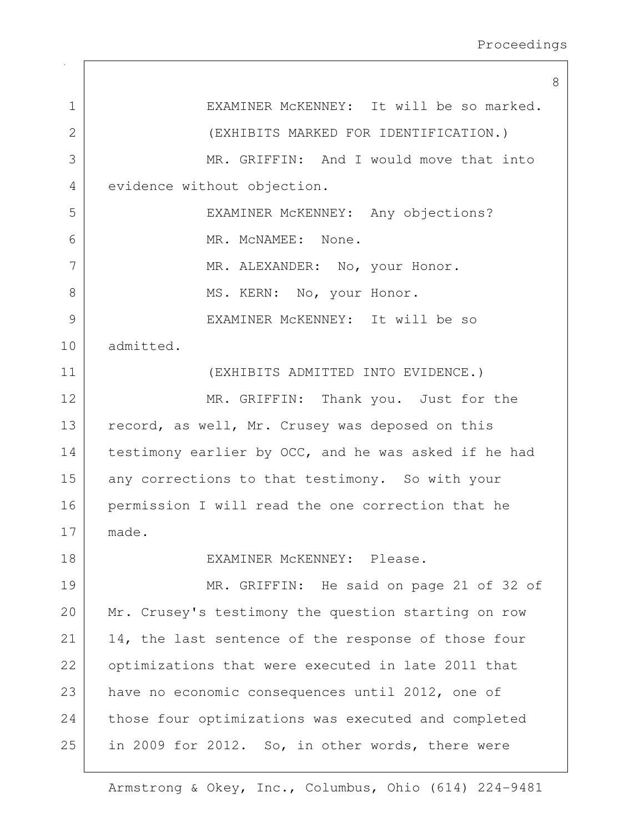8 1 | EXAMINER McKENNEY: It will be so marked. 2 (EXHIBITS MARKED FOR IDENTIFICATION.) 3 MR. GRIFFIN: And I would move that into 4 evidence without objection. 5 EXAMINER McKENNEY: Any objections? 6 MR. McNAMEE: None. 7 MR. ALEXANDER: No, your Honor. 8 | MS. KERN: No, your Honor. 9 EXAMINER McKENNEY: It will be so 10 admitted. 11 (EXHIBITS ADMITTED INTO EVIDENCE.) 12 MR. GRIFFIN: Thank you. Just for the 13 record, as well, Mr. Crusey was deposed on this 14 testimony earlier by OCC, and he was asked if he had 15 any corrections to that testimony. So with your 16 permission I will read the one correction that he 17 made. 18 EXAMINER McKENNEY: Please. 19 MR. GRIFFIN: He said on page 21 of 32 of 20 Mr. Crusey's testimony the question starting on row 21 | 14, the last sentence of the response of those four 22 optimizations that were executed in late 2011 that 23 have no economic consequences until 2012, one of 24 those four optimizations was executed and completed 25 in 2009 for 2012. So, in other words, there were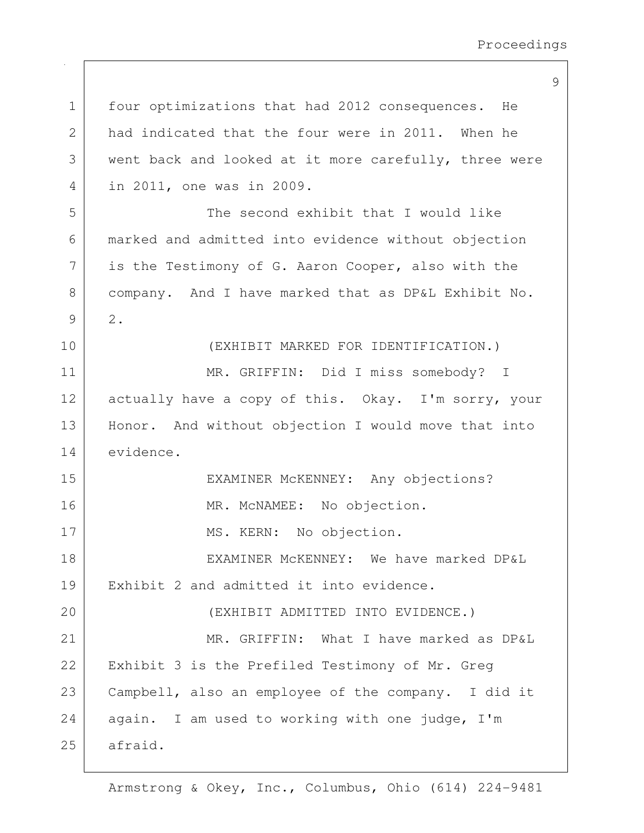1 four optimizations that had 2012 consequences. He 2 had indicated that the four were in 2011. When he 3 went back and looked at it more carefully, three were 4 in 2011, one was in 2009. 5 The second exhibit that I would like 6 marked and admitted into evidence without objection 7 is the Testimony of G. Aaron Cooper, also with the 8 company. And I have marked that as DP&L Exhibit No. 9 2. 10 (EXHIBIT MARKED FOR IDENTIFICATION.) 11 MR. GRIFFIN: Did I miss somebody? I 12 actually have a copy of this. Okay. I'm sorry, your 13 | Honor. And without objection I would move that into 14 evidence. 15 EXAMINER MCKENNEY: Any objections? 16 MR. McNAMEE: No objection. 17 MS. KERN: No objection. 18 EXAMINER McKENNEY: We have marked DP&L 19 Exhibit 2 and admitted it into evidence. 20 (EXHIBIT ADMITTED INTO EVIDENCE.) 21 MR. GRIFFIN: What I have marked as DP&L 22 | Exhibit 3 is the Prefiled Testimony of Mr. Greg 23 Campbell, also an employee of the company. I did it  $24$  again. I am used to working with one judge, I'm 25 afraid.

Armstrong & Okey, Inc., Columbus, Ohio (614) 224-9481

## 9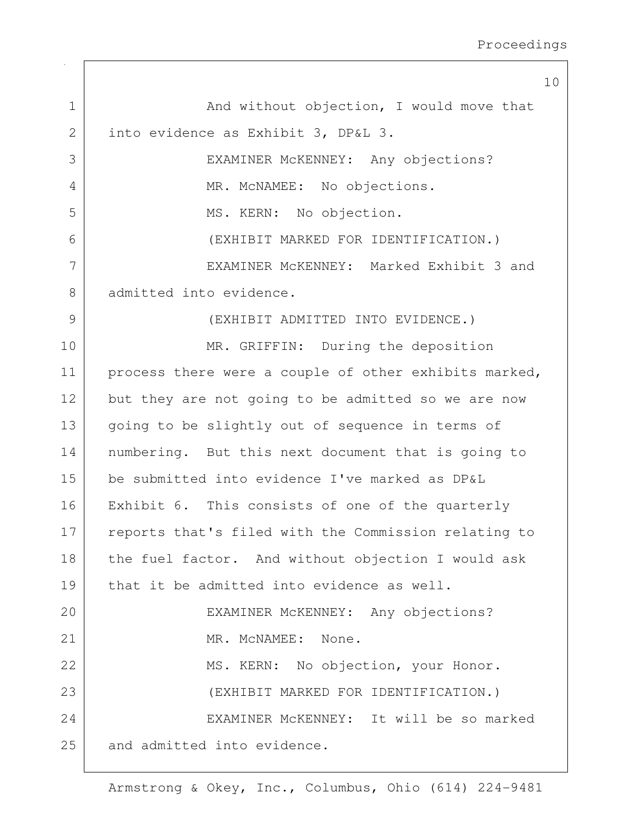10 1 And without objection, I would move that 2 into evidence as Exhibit 3, DP&L 3. 3 EXAMINER McKENNEY: Any objections? 4 MR. McNAMEE: No objections. 5 MS. KERN: No objection. 6 (EXHIBIT MARKED FOR IDENTIFICATION.) 7 EXAMINER McKENNEY: Marked Exhibit 3 and 8 admitted into evidence. 9 (EXHIBIT ADMITTED INTO EVIDENCE.) 10 MR. GRIFFIN: During the deposition 11 | process there were a couple of other exhibits marked, 12 but they are not going to be admitted so we are now 13 going to be slightly out of sequence in terms of 14 | numbering. But this next document that is going to 15 be submitted into evidence I've marked as DP&L 16 | Exhibit 6. This consists of one of the quarterly 17 reports that's filed with the Commission relating to 18 | the fuel factor. And without objection I would ask 19 that it be admitted into evidence as well. 20 EXAMINER McKENNEY: Any objections? 21 MR. McNAMEE: None. 22 MS. KERN: No objection, your Honor. 23 (EXHIBIT MARKED FOR IDENTIFICATION.) 24 EXAMINER McKENNEY: It will be so marked 25 and admitted into evidence.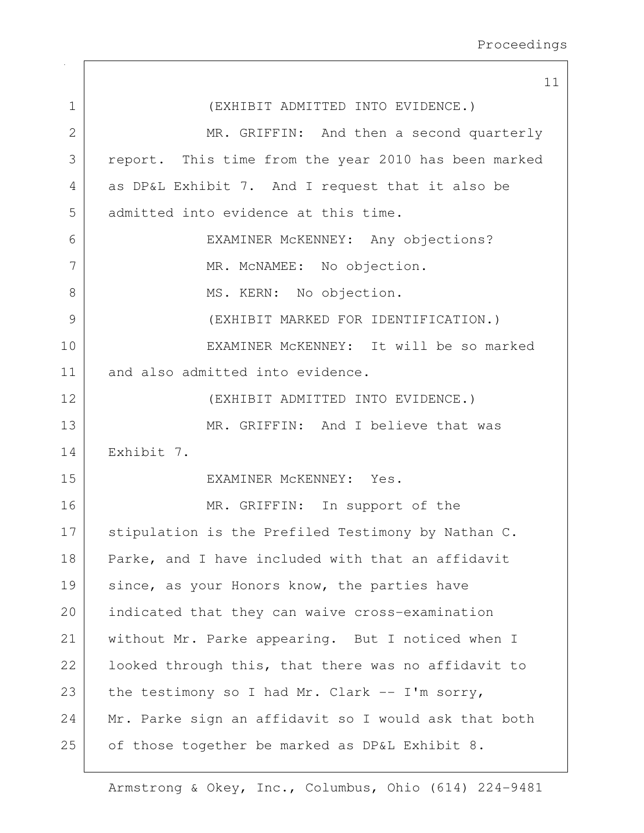| 11                                                   |
|------------------------------------------------------|
| (EXHIBIT ADMITTED INTO EVIDENCE.)                    |
| MR. GRIFFIN: And then a second quarterly             |
| report. This time from the year 2010 has been marked |
| as DP&L Exhibit 7. And I request that it also be     |
|                                                      |
| EXAMINER MCKENNEY: Any objections?                   |
| MR. MCNAMEE: No objection.                           |
|                                                      |
| (EXHIBIT MARKED FOR IDENTIFICATION.)                 |
| EXAMINER MCKENNEY: It will be so marked              |
|                                                      |
| (EXHIBIT ADMITTED INTO EVIDENCE.)                    |
| MR. GRIFFIN: And I believe that was                  |
|                                                      |
|                                                      |
| MR. GRIFFIN: In support of the                       |
| stipulation is the Prefiled Testimony by Nathan C.   |
| Parke, and I have included with that an affidavit    |
| since, as your Honors know, the parties have         |
| indicated that they can waive cross-examination      |
| without Mr. Parke appearing. But I noticed when I    |
| looked through this, that there was no affidavit to  |
| the testimony so I had Mr. Clark -- I'm sorry,       |
| Mr. Parke sign an affidavit so I would ask that both |
| of those together be marked as DP&L Exhibit 8.       |
|                                                      |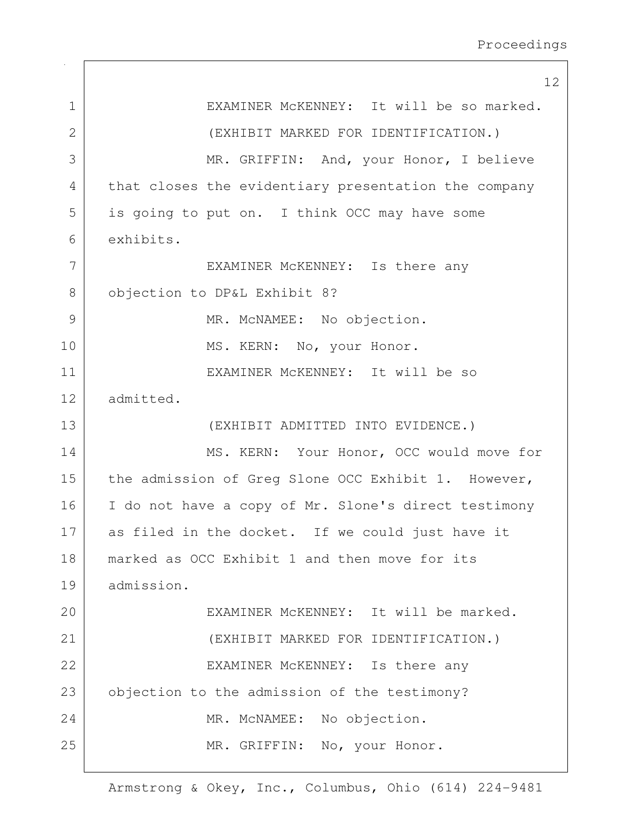12 1 | EXAMINER McKENNEY: It will be so marked. 2 (EXHIBIT MARKED FOR IDENTIFICATION.) 3 MR. GRIFFIN: And, your Honor, I believe 4 that closes the evidentiary presentation the company 5 is going to put on. I think OCC may have some 6 exhibits. 7 EXAMINER MCKENNEY: Is there any 8 | objection to DP&L Exhibit 8? 9 MR. McNAMEE: No objection. 10 | MS. KERN: No, your Honor. 11 EXAMINER McKENNEY: It will be so 12 admitted. 13 (EXHIBIT ADMITTED INTO EVIDENCE.) 14 | MS. KERN: Your Honor, OCC would move for 15 the admission of Greg Slone OCC Exhibit 1. However, 16 | I do not have a copy of Mr. Slone's direct testimony 17 as filed in the docket. If we could just have it 18 | marked as OCC Exhibit 1 and then move for its 19 admission. 20 EXAMINER McKENNEY: It will be marked. 21 (EXHIBIT MARKED FOR IDENTIFICATION.) 22 EXAMINER McKENNEY: Is there any 23 objection to the admission of the testimony? 24 MR. McNAMEE: No objection. 25 MR. GRIFFIN: No, your Honor.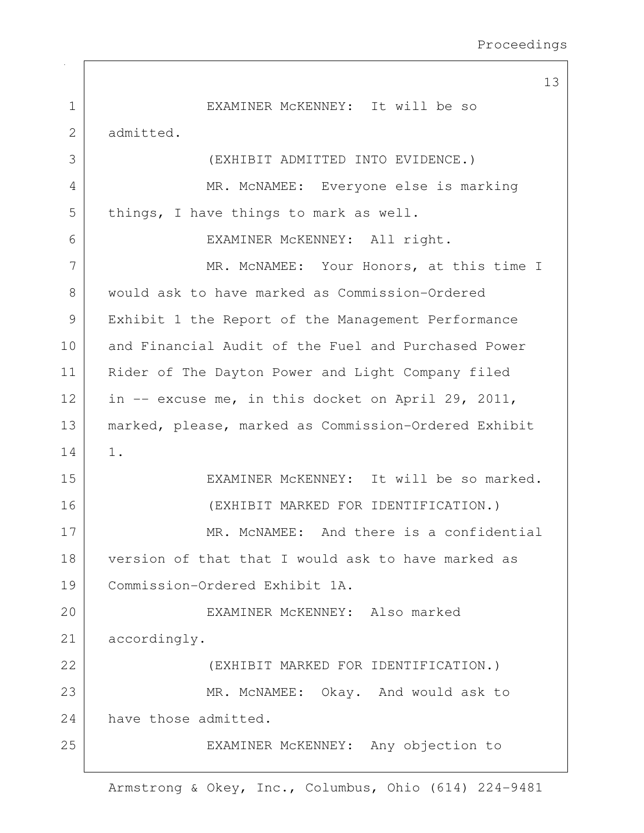|              | 13                                                   |
|--------------|------------------------------------------------------|
| $\mathbf 1$  | EXAMINER MCKENNEY: It will be so                     |
| $\mathbf{2}$ | admitted.                                            |
| 3            | (EXHIBIT ADMITTED INTO EVIDENCE.)                    |
| 4            | MR. MCNAMEE: Everyone else is marking                |
| 5            | things, I have things to mark as well.               |
| 6            | EXAMINER MCKENNEY: All right.                        |
| 7            | MR. MCNAMEE: Your Honors, at this time I             |
| 8            | would ask to have marked as Commission-Ordered       |
| 9            | Exhibit 1 the Report of the Management Performance   |
| 10           | and Financial Audit of the Fuel and Purchased Power  |
| 11           | Rider of The Dayton Power and Light Company filed    |
| 12           | in -- excuse me, in this docket on April 29, 2011,   |
| 13           | marked, please, marked as Commission-Ordered Exhibit |
| 14           | $1$ .                                                |
| 15           | EXAMINER MCKENNEY: It will be so marked.             |
| 16           | (EXHIBIT MARKED FOR IDENTIFICATION.)                 |
| 17           | MR. MCNAMEE: And there is a confidential             |
| 18           | version of that that I would ask to have marked as   |
| 19           | Commission-Ordered Exhibit 1A.                       |
| 20           | EXAMINER MCKENNEY: Also marked                       |
| 21           | accordingly.                                         |
| 22           | (EXHIBIT MARKED FOR IDENTIFICATION.)                 |
| 23           | MR. MCNAMEE: Okay. And would ask to                  |
| 24           | have those admitted.                                 |
| 25           | EXAMINER MCKENNEY: Any objection to                  |
|              |                                                      |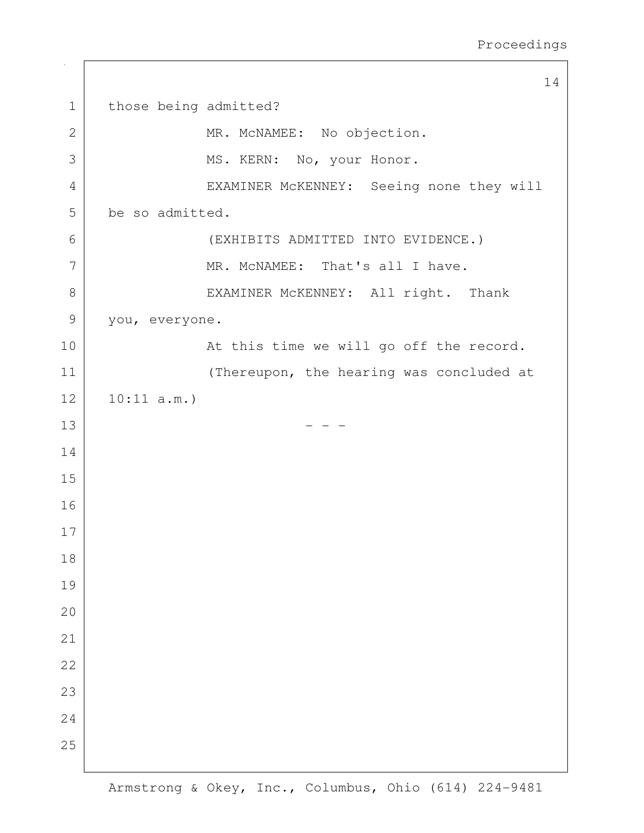|                | 14                                       |
|----------------|------------------------------------------|
| $\mathbf 1$    | those being admitted?                    |
| $\overline{2}$ | MR. MCNAMEE: No objection.               |
| 3              | MS. KERN: No, your Honor.                |
| $\overline{4}$ | EXAMINER MCKENNEY: Seeing none they will |
| 5              | be so admitted.                          |
| 6              | (EXHIBITS ADMITTED INTO EVIDENCE.)       |
| 7              | MR. MCNAMEE: That's all I have.          |
| 8              | EXAMINER MCKENNEY: All right. Thank      |
| $\mathcal{G}$  | you, everyone.                           |
| 10             | At this time we will go off the record.  |
| 11             | (Thereupon, the hearing was concluded at |
| 12             | 10:11 a.m.                               |
| 13             |                                          |
| 14             |                                          |
| 15             |                                          |
| 16             |                                          |
| 17             |                                          |
| 18             |                                          |
| 19             |                                          |
| 20             |                                          |
| 21             |                                          |
| 22             |                                          |
| 23             |                                          |
| 24             |                                          |
| 25             |                                          |
|                |                                          |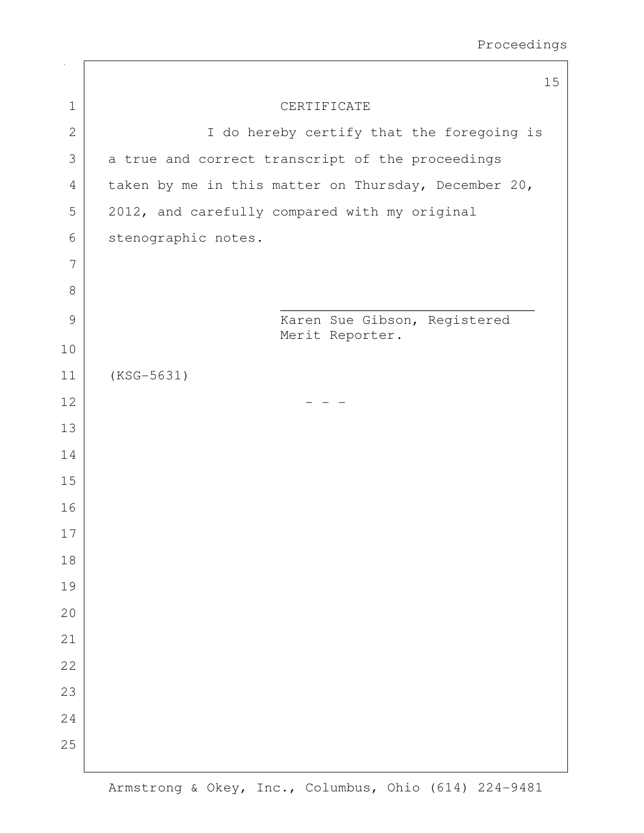|               | 15                                                   |
|---------------|------------------------------------------------------|
| $1\,$         | CERTIFICATE                                          |
| $\mathbf{2}$  | I do hereby certify that the foregoing is            |
| 3             | a true and correct transcript of the proceedings     |
| 4             | taken by me in this matter on Thursday, December 20, |
| 5             | 2012, and carefully compared with my original        |
| 6             | stenographic notes.                                  |
| 7             |                                                      |
| 8             |                                                      |
| $\mathcal{G}$ | Karen Sue Gibson, Registered                         |
| 10            | Merit Reporter.                                      |
| 11            | $(KSG-5631)$                                         |
| 12            |                                                      |
| 13            |                                                      |
| 14            |                                                      |
| 15            |                                                      |
| 16            |                                                      |
| 17            |                                                      |
| 18            |                                                      |
| 19            |                                                      |
| 20            |                                                      |
| 21            |                                                      |
| 22            |                                                      |
| 23            |                                                      |
| 24            |                                                      |
| 25            |                                                      |
|               |                                                      |